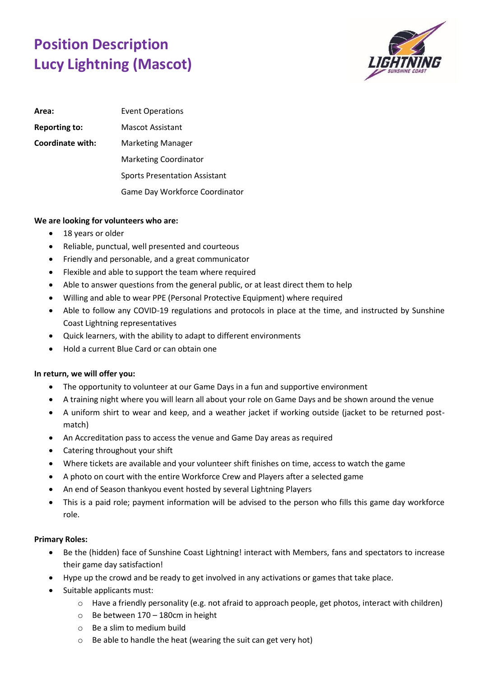## **Position Description Lucy Lightning (Mascot)**



| Area:                | <b>Event Operations</b>              |
|----------------------|--------------------------------------|
| <b>Reporting to:</b> | Mascot Assistant                     |
| Coordinate with:     | <b>Marketing Manager</b>             |
|                      | <b>Marketing Coordinator</b>         |
|                      | <b>Sports Presentation Assistant</b> |
|                      | Game Day Workforce Coordinator       |

## **We are looking for volunteers who are:**

- 18 years or older
- Reliable, punctual, well presented and courteous
- Friendly and personable, and a great communicator
- Flexible and able to support the team where required
- Able to answer questions from the general public, or at least direct them to help
- Willing and able to wear PPE (Personal Protective Equipment) where required
- Able to follow any COVID-19 regulations and protocols in place at the time, and instructed by Sunshine Coast Lightning representatives
- Quick learners, with the ability to adapt to different environments
- Hold a current Blue Card or can obtain one

## **In return, we will offer you:**

- The opportunity to volunteer at our Game Days in a fun and supportive environment
- A training night where you will learn all about your role on Game Days and be shown around the venue
- A uniform shirt to wear and keep, and a weather jacket if working outside (jacket to be returned postmatch)
- An Accreditation pass to access the venue and Game Day areas as required
- Catering throughout your shift
- Where tickets are available and your volunteer shift finishes on time, access to watch the game
- A photo on court with the entire Workforce Crew and Players after a selected game
- An end of Season thankyou event hosted by several Lightning Players
- This is a paid role; payment information will be advised to the person who fills this game day workforce role.

## **Primary Roles:**

- Be the (hidden) face of Sunshine Coast Lightning! interact with Members, fans and spectators to increase their game day satisfaction!
- Hype up the crowd and be ready to get involved in any activations or games that take place.
- Suitable applicants must:
	- o Have a friendly personality (e.g. not afraid to approach people, get photos, interact with children)
	- o Be between 170 180cm in height
	- o Be a slim to medium build
	- o Be able to handle the heat (wearing the suit can get very hot)